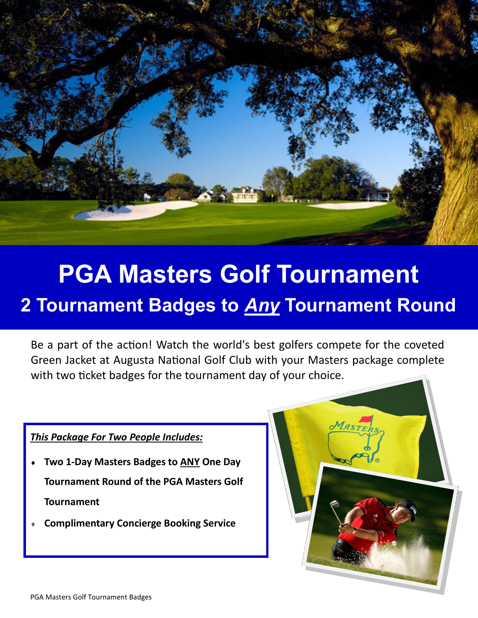

## **PGA Masters Golf Tournament**

## **2 Tournament Badges to** *Any* **Tournament Round**

Be a part of the action! Watch the world's best golfers compete for the coveted Green Jacket at Augusta National Golf Club with your Masters package complete with two ticket badges for the tournament day of your choice.

 $M_{\text{ASTI}}$ 

## *This Package For Two People Includes:*

- **Two 1-Day Masters Badges to ANY One Day Tournament Round of the PGA Masters Golf Tournament**
- **Complimentary Concierge Booking Service**